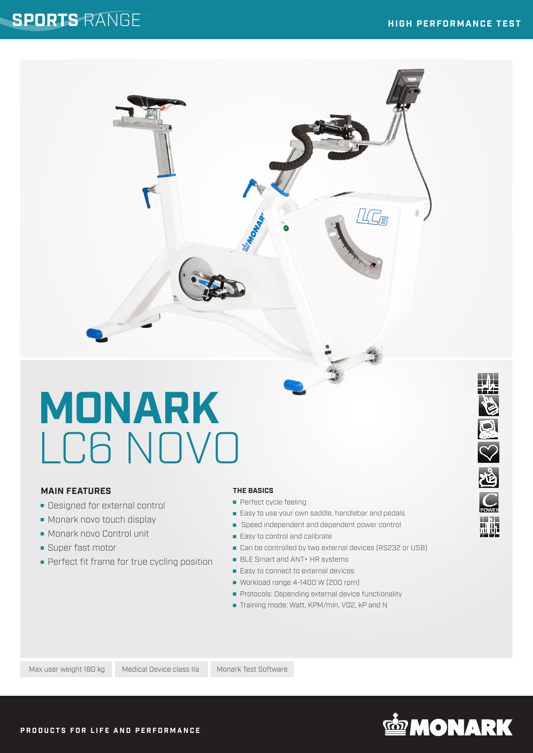### **SPORTS** RANGE

Ô

# **MONARK** LC6 NOVO

#### **MAIN FEATURES**

- **Designed for external control**
- **Monark novo touch display**
- Monark novo Control unit
- **Super fast motor**
- Perfect fit frame for true cycling position

#### **THE BASICS**

- **Perfect cycle feeling**
- **Easy to use your own saddle, handlebar and pedals**
- Speed independent and dependent power control
- Easy to control and calibrate
- Can be controlled by two external devices (RS232 or USB)
- BLE Smart and ANT+ HR systems
- Easy to connect to external devices
- Workload range 4-1400 W (200 rpm)
- **Protocols: Depending external device functionality**
- Training mode: Watt, KPM/min, VO2, kP and N

Max user weight 180 kg Medical Device class IIa Monark Test Software



Q S R

**Milia**